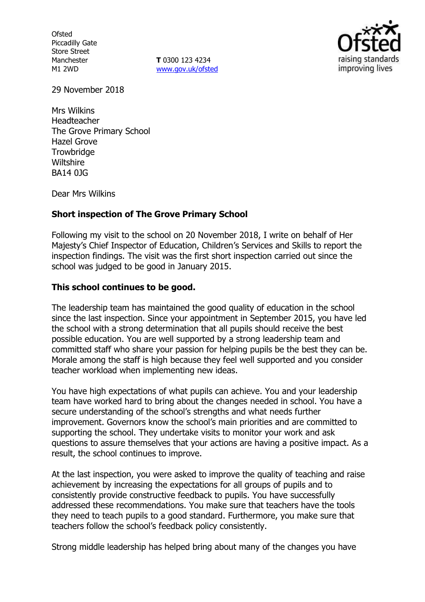**Ofsted** Piccadilly Gate Store Street Manchester M1 2WD

**T** 0300 123 4234 www.gov.uk/ofsted



29 November 2018

Mrs Wilkins Headteacher The Grove Primary School Hazel Grove **Trowbridge Wiltshire** BA14 0JG

Dear Mrs Wilkins

### **Short inspection of The Grove Primary School**

Following my visit to the school on 20 November 2018, I write on behalf of Her Majesty's Chief Inspector of Education, Children's Services and Skills to report the inspection findings. The visit was the first short inspection carried out since the school was judged to be good in January 2015.

#### **This school continues to be good.**

The leadership team has maintained the good quality of education in the school since the last inspection. Since your appointment in September 2015, you have led the school with a strong determination that all pupils should receive the best possible education. You are well supported by a strong leadership team and committed staff who share your passion for helping pupils be the best they can be. Morale among the staff is high because they feel well supported and you consider teacher workload when implementing new ideas.

You have high expectations of what pupils can achieve. You and your leadership team have worked hard to bring about the changes needed in school. You have a secure understanding of the school's strengths and what needs further improvement. Governors know the school's main priorities and are committed to supporting the school. They undertake visits to monitor your work and ask questions to assure themselves that your actions are having a positive impact. As a result, the school continues to improve.

At the last inspection, you were asked to improve the quality of teaching and raise achievement by increasing the expectations for all groups of pupils and to consistently provide constructive feedback to pupils. You have successfully addressed these recommendations. You make sure that teachers have the tools they need to teach pupils to a good standard. Furthermore, you make sure that teachers follow the school's feedback policy consistently.

Strong middle leadership has helped bring about many of the changes you have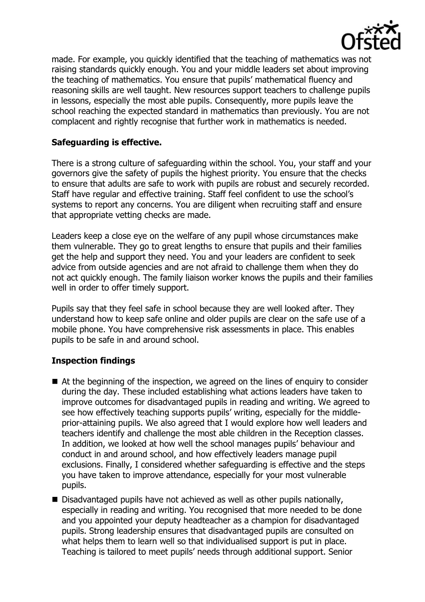

made. For example, you quickly identified that the teaching of mathematics was not raising standards quickly enough. You and your middle leaders set about improving the teaching of mathematics. You ensure that pupils' mathematical fluency and reasoning skills are well taught. New resources support teachers to challenge pupils in lessons, especially the most able pupils. Consequently, more pupils leave the school reaching the expected standard in mathematics than previously. You are not complacent and rightly recognise that further work in mathematics is needed.

# **Safeguarding is effective.**

There is a strong culture of safeguarding within the school. You, your staff and your governors give the safety of pupils the highest priority. You ensure that the checks to ensure that adults are safe to work with pupils are robust and securely recorded. Staff have regular and effective training. Staff feel confident to use the school's systems to report any concerns. You are diligent when recruiting staff and ensure that appropriate vetting checks are made.

Leaders keep a close eye on the welfare of any pupil whose circumstances make them vulnerable. They go to great lengths to ensure that pupils and their families get the help and support they need. You and your leaders are confident to seek advice from outside agencies and are not afraid to challenge them when they do not act quickly enough. The family liaison worker knows the pupils and their families well in order to offer timely support.

Pupils say that they feel safe in school because they are well looked after. They understand how to keep safe online and older pupils are clear on the safe use of a mobile phone. You have comprehensive risk assessments in place. This enables pupils to be safe in and around school.

### **Inspection findings**

- At the beginning of the inspection, we agreed on the lines of enquiry to consider during the day. These included establishing what actions leaders have taken to improve outcomes for disadvantaged pupils in reading and writing. We agreed to see how effectively teaching supports pupils' writing, especially for the middleprior-attaining pupils. We also agreed that I would explore how well leaders and teachers identify and challenge the most able children in the Reception classes. In addition, we looked at how well the school manages pupils' behaviour and conduct in and around school, and how effectively leaders manage pupil exclusions. Finally, I considered whether safeguarding is effective and the steps you have taken to improve attendance, especially for your most vulnerable pupils.
- Disadvantaged pupils have not achieved as well as other pupils nationally, especially in reading and writing. You recognised that more needed to be done and you appointed your deputy headteacher as a champion for disadvantaged pupils. Strong leadership ensures that disadvantaged pupils are consulted on what helps them to learn well so that individualised support is put in place. Teaching is tailored to meet pupils' needs through additional support. Senior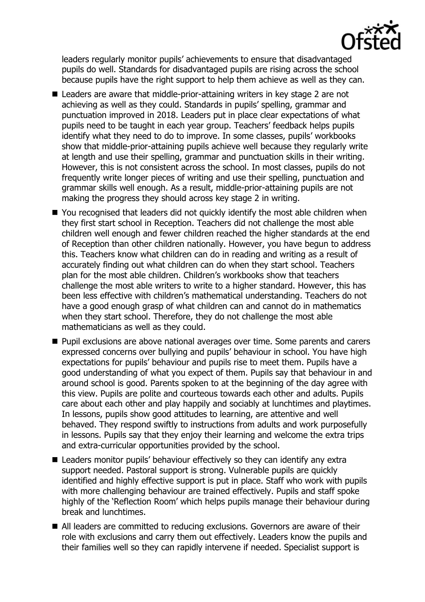

leaders regularly monitor pupils' achievements to ensure that disadvantaged pupils do well. Standards for disadvantaged pupils are rising across the school because pupils have the right support to help them achieve as well as they can.

- Leaders are aware that middle-prior-attaining writers in key stage 2 are not achieving as well as they could. Standards in pupils' spelling, grammar and punctuation improved in 2018. Leaders put in place clear expectations of what pupils need to be taught in each year group. Teachers' feedback helps pupils identify what they need to do to improve. In some classes, pupils' workbooks show that middle-prior-attaining pupils achieve well because they regularly write at length and use their spelling, grammar and punctuation skills in their writing. However, this is not consistent across the school. In most classes, pupils do not frequently write longer pieces of writing and use their spelling, punctuation and grammar skills well enough. As a result, middle-prior-attaining pupils are not making the progress they should across key stage 2 in writing.
- You recognised that leaders did not quickly identify the most able children when they first start school in Reception. Teachers did not challenge the most able children well enough and fewer children reached the higher standards at the end of Reception than other children nationally. However, you have begun to address this. Teachers know what children can do in reading and writing as a result of accurately finding out what children can do when they start school. Teachers plan for the most able children. Children's workbooks show that teachers challenge the most able writers to write to a higher standard. However, this has been less effective with children's mathematical understanding. Teachers do not have a good enough grasp of what children can and cannot do in mathematics when they start school. Therefore, they do not challenge the most able mathematicians as well as they could.
- **Pupil exclusions are above national averages over time. Some parents and carers** expressed concerns over bullying and pupils' behaviour in school. You have high expectations for pupils' behaviour and pupils rise to meet them. Pupils have a good understanding of what you expect of them. Pupils say that behaviour in and around school is good. Parents spoken to at the beginning of the day agree with this view. Pupils are polite and courteous towards each other and adults. Pupils care about each other and play happily and sociably at lunchtimes and playtimes. In lessons, pupils show good attitudes to learning, are attentive and well behaved. They respond swiftly to instructions from adults and work purposefully in lessons. Pupils say that they enjoy their learning and welcome the extra trips and extra-curricular opportunities provided by the school.
- Leaders monitor pupils' behaviour effectively so they can identify any extra support needed. Pastoral support is strong. Vulnerable pupils are quickly identified and highly effective support is put in place. Staff who work with pupils with more challenging behaviour are trained effectively. Pupils and staff spoke highly of the 'Reflection Room' which helps pupils manage their behaviour during break and lunchtimes.
- All leaders are committed to reducing exclusions. Governors are aware of their role with exclusions and carry them out effectively. Leaders know the pupils and their families well so they can rapidly intervene if needed. Specialist support is